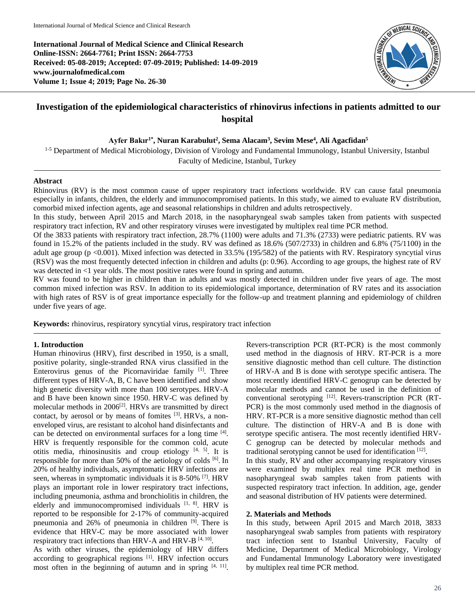**International Journal of Medical Science and Clinical Research Online-ISSN: 2664-7761; Print ISSN: 2664-7753 Received: 05-08-2019; Accepted: 07-09-2019; Published: 14-09-2019 www.journalofmedical.com Volume 1; Issue 4; 2019; Page No. 26-30**



# **Investigation of the epidemiological characteristics of rhinovirus infections in patients admitted to our hospital**

**Ayfer Bakır1\* , Nuran Karabulut<sup>2</sup> , Sema Alacam<sup>3</sup> , Sevim Mese<sup>4</sup> , Ali Agacfidan<sup>5</sup>**

<sup>1-5</sup> Department of Medical Microbiology, Division of Virology and Fundamental Immunology, Istanbul University, Istanbul Faculty of Medicine, Istanbul, Turkey

## **Abstract**

Rhinovirus (RV) is the most common cause of upper respiratory tract infections worldwide. RV can cause fatal pneumonia especially in infants, children, the elderly and immunocompromised patients. In this study, we aimed to evaluate RV distribution, comorbid mixed infection agents, age and seasonal relationships in children and adults retrospectively.

In this study, between April 2015 and March 2018, in the nasopharyngeal swab samples taken from patients with suspected respiratory tract infection, RV and other respiratory viruses were investigated by multiplex real time PCR method.

Of the 3833 patients with respiratory tract infection, 28.7% (1100) were adults and 71.3% (2733) were pediatric patients. RV was found in 15.2% of the patients included in the study. RV was defined as 18.6% (507/2733) in children and 6.8% (75/1100) in the adult age group (p <0.001). Mixed infection was detected in 33.5% (195/582) of the patients with RV. Respiratory syncytial virus (RSV) was the most frequently detected infection in children and adults (p: 0.96). According to age groups, the highest rate of RV was detected in <1 year olds. The most positive rates were found in spring and autumn.

RV was found to be higher in children than in adults and was mostly detected in children under five years of age. The most common mixed infection was RSV. In addition to its epidemiological importance, determination of RV rates and its association with high rates of RSV is of great importance especially for the follow-up and treatment planning and epidemiology of children under five years of age.

**Keywords:** rhinovirus, respiratory syncytial virus, respiratory tract infection

# **1. Introduction**

Human rhinovirus (HRV), first described in 1950, is a small, positive polarity, single-stranded RNA virus classified in the Enterovirus genus of the Picornaviridae family [1]. Three different types of HRV-A, B, C have been identified and show high genetic diversity with more than 100 serotypes. HRV-A and B have been known since 1950. HRV-C was defined by molecular methods in 2006<sup>[2]</sup>. HRVs are transmitted by direct contact, by aerosol or by means of fomites [3]. HRVs, a nonenveloped virus, are resistant to alcohol hand disinfectants and can be detected on environmental surfaces for a long time [4]. HRV is frequently responsible for the common cold, acute otitis media, rhinosinusitis and croup etiology [4, 5]. It is responsible for more than 50% of the aetiology of colds  $[6]$ . In 20% of healthy individuals, asymptomatic HRV infections are seen, whereas in symptomatic individuals it is 8-50% [7]. HRV plays an important role in lower respiratory tract infections, including pneumonia, asthma and bronchiolitis in children, the elderly and immunocompromised individuals [1, 8]. HRV is reported to be responsible for 2-17% of community-acquired pneumonia and 26% of pneumonia in children <sup>[9]</sup>. There is evidence that HRV-C may be more associated with lower respiratory tract infections than HRV-A and HRV-B  $[4, 10]$ .

As with other viruses, the epidemiology of HRV differs according to geographical regions [1]. HRV infection occurs most often in the beginning of autumn and in spring  $[4, 11]$ .

Revers-transcription PCR (RT-PCR) is the most commonly used method in the diagnosis of HRV. RT-PCR is a more sensitive diagnostic method than cell culture. The distinction of HRV-A and B is done with serotype specific antisera. The most recently identified HRV-C genogrup can be detected by molecular methods and cannot be used in the definition of conventional serotyping [12]. Revers-transcription PCR (RT-PCR) is the most commonly used method in the diagnosis of HRV. RT-PCR is a more sensitive diagnostic method than cell culture. The distinction of HRV-A and B is done with serotype specific antisera. The most recently identified HRV-C genogrup can be detected by molecular methods and traditional serotyping cannot be used for identification [12].

In this study, RV and other accompanying respiratory viruses were examined by multiplex real time PCR method in nasopharyngeal swab samples taken from patients with suspected respiratory tract infection. In addition, age, gender and seasonal distribution of HV patients were determined.

#### **2. Materials and Methods**

In this study, between April 2015 and March 2018, 3833 nasopharyngeal swab samples from patients with respiratory tract infection sent to Istanbul University, Faculty of Medicine, Department of Medical Microbiology, Virology and Fundamental Immunology Laboratory were investigated by multiplex real time PCR method.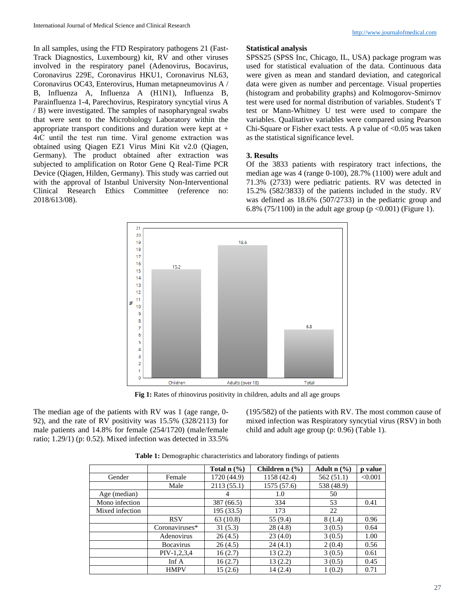In all samples, using the FTD Respiratory pathogens 21 (Fast-Track Diagnostics, Luxembourg) kit, RV and other viruses involved in the respiratory panel (Adenovirus, Bocavirus, Coronavirus 229E, Coronavirus HKU1, Coronavirus NL63, Coronavirus OC43, Enterovirus, Human metapneumovirus A / B, Influenza A, Influenza A (H1N1), Influenza B, Parainfluenza 1-4, Parechovirus, Respiratory syncytial virus A / B) were investigated. The samples of nasopharyngeal swabs that were sent to the Microbiology Laboratory within the appropriate transport conditions and duration were kept at + 4ıC until the test run time. Viral genome extraction was obtained using Qiagen EZ1 Virus Mini Kit v2.0 (Qiagen, Germany). The product obtained after extraction was subjected to amplification on Rotor Gene Q Real-Time PCR Device (Qiagen, Hilden, Germany). This study was carried out with the approval of Istanbul University Non-Interventional Clinical Research Ethics Committee (reference no: 2018/613/08).

#### **Statistical analysis**

SPSS25 (SPSS Inc, Chicago, IL, USA) package program was used for statistical evaluation of the data. Continuous data were given as mean and standard deviation, and categorical data were given as number and percentage. Visual properties (histogram and probability graphs) and Kolmogorov-Smirnov test were used for normal distribution of variables. Student's T test or Mann-Whitney U test were used to compare the variables. Qualitative variables were compared using Pearson Chi-Square or Fisher exact tests. A p value of  $< 0.05$  was taken as the statistical significance level.

# **3. Results**

Of the 3833 patients with respiratory tract infections, the median age was 4 (range 0-100), 28.7% (1100) were adult and 71.3% (2733) were pediatric patients. RV was detected in 15.2% (582/3833) of the patients included in the study. RV was defined as 18.6% (507/2733) in the pediatric group and 6.8% (75/1100) in the adult age group ( $p < 0.001$ ) (Figure 1).



**Fig 1:** Rates of rhinovirus positivity in children, adults and all age groups

The median age of the patients with RV was 1 (age range, 0- 92), and the rate of RV positivity was 15.5% (328/2113) for male patients and 14.8% for female (254/1720) (male/female ratio; 1.29/1) (p: 0.52). Mixed infection was detected in 33.5%

(195/582) of the patients with RV. The most common cause of mixed infection was Respiratory syncytial virus (RSV) in both child and adult age group (p: 0.96) (Table 1).

|                 |                   | Total $n$ $\%$ ) | Children n $(\% )$ | Adult $n$ $(\frac{6}{6})$ | p value |
|-----------------|-------------------|------------------|--------------------|---------------------------|---------|
| Gender          | Female            | 1720 (44.9)      | 1158 (42.4)        | 562(51.1)                 | < 0.001 |
|                 | Male              | 2113(55.1)       | 1575 (57.6)        | 538 (48.9)                |         |
| Age (median)    |                   | 4                | 1.0                | 50                        |         |
| Mono infection  |                   | 387 (66.5)       | 334                | 53                        | 0.41    |
| Mixed infection |                   | 195 (33.5)       | 173                | 22                        |         |
|                 | <b>RSV</b>        | 63(10.8)         | 55 (9.4)           | 8 (1.4)                   | 0.96    |
|                 | Coronaviruses*    | 31(5.3)          | 28(4.8)            | 3(0.5)                    | 0.64    |
|                 | Adenovirus        | 26(4.5)          | 23(4.0)            | 3(0.5)                    | 1.00    |
|                 | <b>B</b> ocavirus | 26(4.5)          | 24(4.1)            | 2(0.4)                    | 0.56    |
|                 | $PIV-1,2,3,4$     | 16(2.7)          | 13(2.2)            | 3(0.5)                    | 0.61    |
|                 | Inf $A$           | 16(2.7)          | 13(2.2)            | 3(0.5)                    | 0.45    |
|                 | <b>HMPV</b>       | 15(2.6)          | 14(2.4)            | 1(0.2)                    | 0.71    |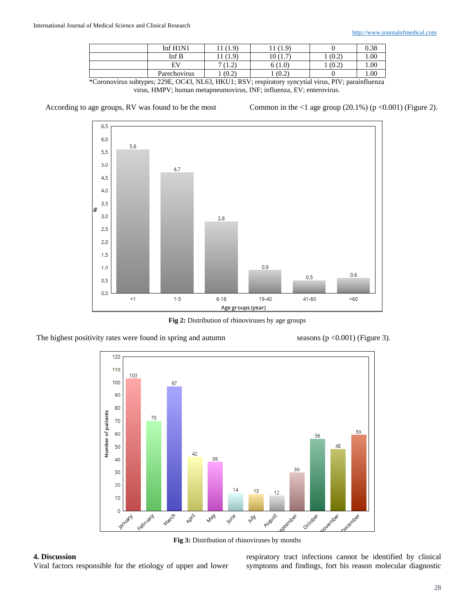| Inf $H1N1$   | (1.9) | (1.9)                                  |       | 0.38 |
|--------------|-------|----------------------------------------|-------|------|
| Inf B        | (1.9) | 10 (1<br>$\mathbf{1} \cdot \mathbf{1}$ | (0.2) | 00.1 |
| EV           | 1.4   | 6(1.0)                                 | (0.2) | 00.1 |
| Parechovirus | (0.2) | (0.2)                                  |       | 1.00 |
|              |       |                                        |       |      |

\*Coronovirus subtypes; 229E, OC43, NL63, HKU1; RSV; respiratory syncytial virus, PIV; parainfluenza virus, HMPV; human metapneumovirus, INF; influenza, EV; enterovirus.

According to age groups, RV was found to be the most Common in the  $\langle 1 \text{ age group } (20.1\%)$  (p  $\langle 0.001 \rangle$  (Figure 2).



**Fig 2:** Distribution of rhinoviruses by age groups

The highest positivity rates were found in spring and autumn seasons  $(p < 0.001)$  (Figure 3).



**Fig 3:** Distribution of rhinoviruses by months

# **4. Discussion**

Viral factors responsible for the etiology of upper and lower

respiratory tract infections cannot be identified by clinical symptoms and findings, fort his reason molecular diagnostic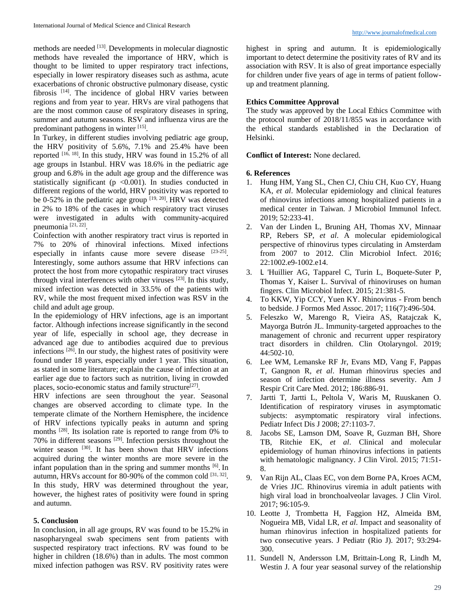methods are needed [13]. Developments in molecular diagnostic methods have revealed the importance of HRV, which is thought to be limited to upper respiratory tract infections, especially in lower respiratory diseases such as asthma, acute exacerbations of chronic obstructive pulmonary disease, cystic fibrosis <sup>[14]</sup>. The incidence of global HRV varies between regions and from year to year. HRVs are viral pathogens that are the most common cause of respiratory diseases in spring, summer and autumn seasons. RSV and influenza virus are the predominant pathogens in winter [15].

In Turkey, in different studies involving pediatric age group, the HRV positivity of 5.6%, 7.1% and 25.4% have been reported  $[16, 18]$ . In this study, HRV was found in 15.2% of all age groups in Istanbul. HRV was 18.6% in the pediatric age group and 6.8% in the adult age group and the difference was statistically significant ( $p \le 0.001$ ). In studies conducted in different regions of the world, HRV positivity was reported to be 0-52% in the pediatric age group  $[19, 20]$ . HRV was detected in 2% to 18% of the cases in which respiratory tract viruses were investigated in adults with community-acquired pneumonia [21, 22] .

Coinfection with another respiratory tract virus is reported in 7% to 20% of rhinoviral infections. Mixed infections especially in infants cause more severe disease  $[23-25]$ . Interestingly, some authors assume that HRV infections can protect the host from more cytopathic respiratory tract viruses through viral interferences with other viruses  $^{[23]}$ . In this study, mixed infection was detected in 33.5% of the patients with RV, while the most frequent mixed infection was RSV in the child and adult age group.

In the epidemiology of HRV infections, age is an important factor. Although infections increase significantly in the second year of life, especially in school age, they decrease in advanced age due to antibodies acquired due to previous infections<sup>[26]</sup>. In our study, the highest rates of positivity were found under 18 years, especially under 1 year. This situation, as stated in some literature; explain the cause of infection at an earlier age due to factors such as nutrition, living in crowded places, socio-economic status and family structure<sup>[27]</sup>.

HRV infections are seen throughout the year. Seasonal changes are observed according to climate type. In the temperate climate of the Northern Hemisphere, the incidence of HRV infections typically peaks in autumn and spring months <sup>[28]</sup>. Its isolation rate is reported to range from 0% to 70% in different seasons [29]. Infection persists throughout the winter season [30]. It has been shown that HRV infections acquired during the winter months are more severe in the infant population than in the spring and summer months [6]. In autumn, HRVs account for 80-90% of the common cold [31, 32]. In this study, HRV was determined throughout the year, however, the highest rates of positivity were found in spring and autumn.

## **5. Conclusion**

In conclusion, in all age groups, RV was found to be 15.2% in nasopharyngeal swab specimens sent from patients with suspected respiratory tract infections. RV was found to be higher in children (18.6%) than in adults. The most common mixed infection pathogen was RSV. RV positivity rates were highest in spring and autumn. It is epidemiologically important to detect determine the positivity rates of RV and its association with RSV. It is also of great importance especially for children under five years of age in terms of patient followup and treatment planning.

## **Ethics Committee Approval**

The study was approved by the Local Ethics Committee with the protocol number of 2018/11/855 was in accordance with the ethical standards established in the Declaration of Helsinki.

## **Conflict of Interest:** None declared.

#### **6. References**

- 1. Hung HM, Yang SL, Chen CJ, Chiu CH, Kuo CY, Huang KA, *et al*. Molecular epidemiology and clinical features of rhinovirus infections among hospitalized patients in a medical center in Taiwan. J Microbiol Immunol Infect. 2019; 52:233-41.
- 2. Van der Linden L, Bruning AH, Thomas XV, Minnaar RP, Rebers SP, *et al*. A molecular epidemiological perspective of rhinovirus types circulating in Amsterdam from 2007 to 2012. Clin Microbiol Infect. 2016; 22:1002.e9-1002.e14.
- 3. L 'Huillier AG, Tapparel C, Turin L, Boquete-Suter P, Thomas Y, Kaiser L. Survival of rhinoviruses on human fingers. Clin Microbiol Infect. 2015; 21:381-5.
- 4. To KKW, Yip CCY, Yuen KY. Rhinovirus From bench to bedside. J Formos Med Assoc. 2017; 116(7):496-504.
- 5. Feleszko W, Marengo R, Vieira AS, Ratajczak K, Mayorga Butrón JL. Immunity-targeted approaches to the management of chronic and recurrent upper respiratory tract disorders in children. Clin Otolaryngol. 2019; 44:502-10.
- 6. Lee WM, Lemanske RF Jr, Evans MD, Vang F, Pappas T, Gangnon R, *et al*. Human rhinovirus species and season of infection determine illness severity. Am J Respir Crit Care Med. 2012; 186:886-91.
- 7. Jartti T, Jartti L, Peltola V, Waris M, Ruuskanen O. Identification of respiratory viruses in asymptomatic subjects: asymptomatic respiratory viral infections. Pediatr Infect Dis J 2008; 27:1103-7.
- 8. Jacobs SE, Lamson DM, Soave R, Guzman BH, Shore TB, Ritchie EK, *et al*. Clinical and molecular epidemiology of human rhinovirus infections in patients with hematologic malignancy. J Clin Virol. 2015; 71:51- 8.
- 9. Van Rijn AL, Claas EC, von dem Borne PA, Kroes ACM, de Vries JJC. Rhinovirus viremia in adult patients with high viral load in bronchoalveolar lavages. J Clin Virol. 2017; 96:105-9.
- 10. Leotte J, Trombetta H, Faggion HZ, Almeida BM, Nogueira MB, Vidal LR, *et al*. Impact and seasonality of human rhinovirus infection in hospitalized patients for two consecutive years. J Pediatr (Rio J). 2017; 93:294- 300.
- 11. Sundell N, Andersson LM, Brittain-Long R, Lindh M, Westin J. A four year seasonal survey of the relationship